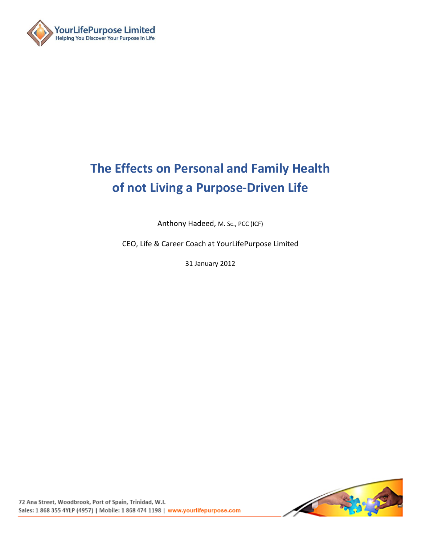

# **The Effects on Personal and Family Health of not Living a Purpose-Driven Life**

Anthony Hadeed, M. Sc., PCC (ICF)

CEO, Life & Career Coach at YourLifePurpose Limited

31 January 2012

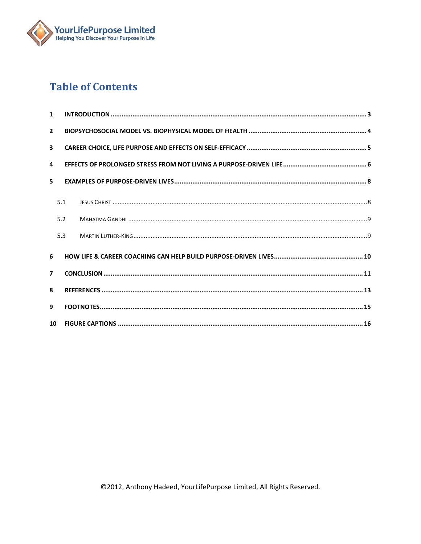

# **Table of Contents**

| $\mathbf{1}$            |     |  |
|-------------------------|-----|--|
| $\overline{2}$          |     |  |
| $\overline{\mathbf{3}}$ |     |  |
| 4                       |     |  |
| 5                       |     |  |
|                         | 5.1 |  |
|                         | 5.2 |  |
|                         | 5.3 |  |
| 6                       |     |  |
| $\overline{7}$          |     |  |
| 8                       |     |  |
| 9                       |     |  |
| 10                      |     |  |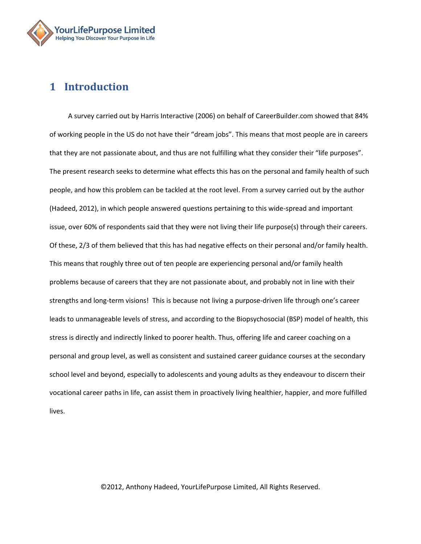

# <span id="page-2-0"></span>**1 Introduction**

A survey carried out by Harris Interactive (2006) on behalf of CareerBuilder.com showed that 84% of working people in the US do not have their "dream jobs". This means that most people are in careers that they are not passionate about, and thus are not fulfilling what they consider their "life purposes". The present research seeks to determine what effects this has on the personal and family health of such people, and how this problem can be tackled at the root level. From a survey carried out by the author (Hadeed, 2012), in which people answered questions pertaining to this wide-spread and important issue, over 60% of respondents said that they were not living their life purpose(s) through their careers. Of these, 2/3 of them believed that this has had negative effects on their personal and/or family health. This means that roughly three out of ten people are experiencing personal and/or family health problems because of careers that they are not passionate about, and probably not in line with their strengths and long-term visions! This is because not living a purpose-driven life through one's career leads to unmanageable levels of stress, and according to the Biopsychosocial (BSP) model of health, this stress is directly and indirectly linked to poorer health. Thus, offering life and career coaching on a personal and group level, as well as consistent and sustained career guidance courses at the secondary school level and beyond, especially to adolescents and young adults as they endeavour to discern their vocational career paths in life, can assist them in proactively living healthier, happier, and more fulfilled lives.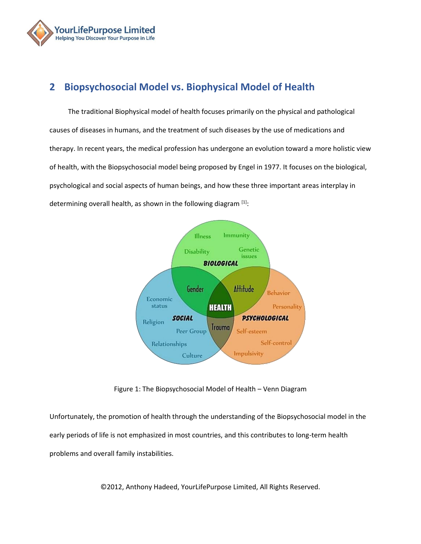

# <span id="page-3-0"></span>**2 Biopsychosocial Model vs. Biophysical Model of Health**

The traditional Biophysical model of health focuses primarily on the physical and pathological causes of diseases in humans, and the treatment of such diseases by the use of medications and therapy. In recent years, the medical profession has undergone an evolution toward a more holistic view of health, with the Biopsychosocial model being proposed by Engel in 1977. It focuses on the biological, psychological and social aspects of human beings, and how these three important areas interplay in determining overall health, as shown in the following diagram [\[1\]](http://en.wikipedia.org/wiki/Mohandas_Karamchand_Gandhi#cite_note-CollectedWorks25-2):



Figure 1: The Biopsychosocial Model of Health – Venn Diagram

Unfortunately, the promotion of health through the understanding of the Biopsychosocial model in the early periods of life is not emphasized in most countries, and this contributes to long-term health problems and overall family instabilities.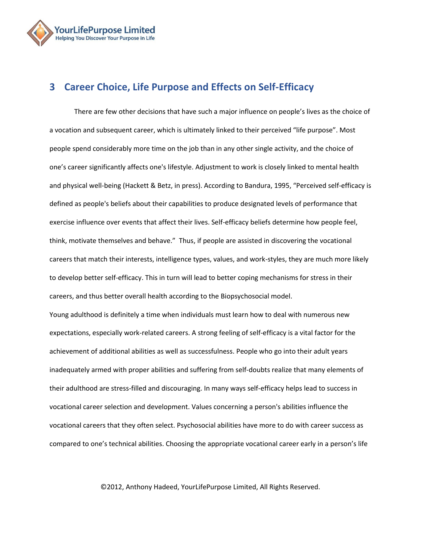

# <span id="page-4-0"></span>**3 Career Choice, Life Purpose and Effects on Self-Efficacy**

There are few other decisions that have such a major influence on people's lives as the choice of a vocation and subsequent career, which is ultimately linked to their perceived "life purpose". Most people spend considerably more time on the job than in any other single activity, and the choice of one's career significantly affects one's lifestyle. Adjustment to work is closely linked to mental health and physical well-being (Hackett & Betz, in press). According to Bandura, 1995, "Perceived self-efficacy is defined as people's beliefs about their capabilities to produce designated levels of performance that exercise influence over events that affect their lives. Self-efficacy beliefs determine how people feel, think, motivate themselves and behave." Thus, if people are assisted in discovering the vocational careers that match their interests, intelligence types, values, and work-styles, they are much more likely to develop better self-efficacy. This in turn will lead to better coping mechanisms for stress in their careers, and thus better overall health according to the Biopsychosocial model.

Young adulthood is definitely a time when individuals must learn how to deal with numerous new expectations, especially work-related careers. A strong feeling of self-efficacy is a vital factor for the achievement of additional abilities as well as successfulness. People who go into their adult years inadequately armed with proper abilities and suffering from self-doubts realize that many elements of their adulthood are stress-filled and discouraging. In many ways self-efficacy helps lead to success in vocational career selection and development. Values concerning a person's abilities influence the vocational careers that they often select. Psychosocial abilities have more to do with career success as compared to one's technical abilities. Choosing the appropriate vocational career early in a person's life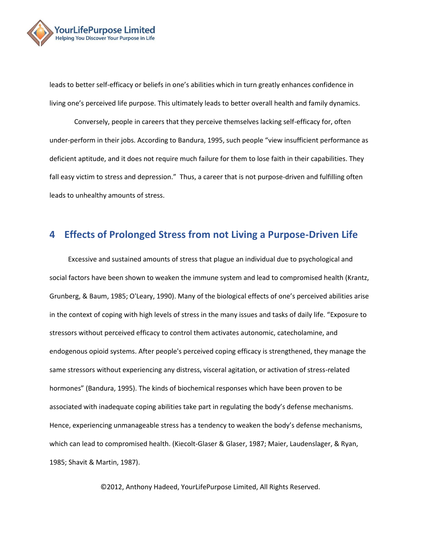

leads to better self-efficacy or beliefs in one's abilities which in turn greatly enhances confidence in living one's perceived life purpose. This ultimately leads to better overall health and family dynamics.

Conversely, people in careers that they perceive themselves lacking self-efficacy for, often under-perform in their jobs. According to Bandura, 1995, such people "view insufficient performance as deficient aptitude, and it does not require much failure for them to lose faith in their capabilities. They fall easy victim to stress and depression." Thus, a career that is not purpose-driven and fulfilling often leads to unhealthy amounts of stress.

### <span id="page-5-0"></span>**4 Effects of Prolonged Stress from not Living a Purpose-Driven Life**

Excessive and sustained amounts of stress that plague an individual due to psychological and social factors have been shown to weaken the immune system and lead to compromised health (Krantz, Grunberg, & Baum, 1985; O'Leary, 1990). Many of the biological effects of one's perceived abilities arise in the context of coping with high levels of stress in the many issues and tasks of daily life. "Exposure to stressors without perceived efficacy to control them activates autonomic, catecholamine, and endogenous opioid systems. After people's perceived coping efficacy is strengthened, they manage the same stressors without experiencing any distress, visceral agitation, or activation of stress-related hormones" (Bandura, 1995). The kinds of biochemical responses which have been proven to be associated with inadequate coping abilities take part in regulating the body's defense mechanisms. Hence, experiencing unmanageable stress has a tendency to weaken the body's defense mechanisms, which can lead to compromised health. (Kiecolt-Glaser & Glaser, 1987; Maier, Laudenslager, & Ryan, 1985; Shavit & Martin, 1987).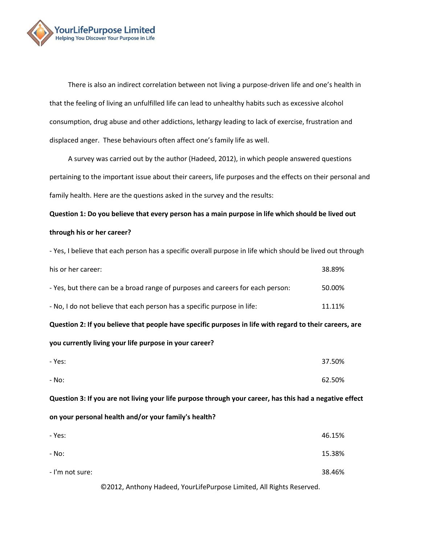

There is also an indirect correlation between not living a purpose-driven life and one's health in that the feeling of living an unfulfilled life can lead to unhealthy habits such as excessive alcohol consumption, drug abuse and other addictions, lethargy leading to lack of exercise, frustration and displaced anger. These behaviours often affect one's family life as well.

A survey was carried out by the author (Hadeed, 2012), in which people answered questions pertaining to the important issue about their careers, life purposes and the effects on their personal and family health. Here are the questions asked in the survey and the results:

**Question 1: Do you believe that every person has a main purpose in life which should be lived out through his or her career?** 

- Yes, I believe that each person has a specific overall purpose in life which should be lived out through his or her career: 38.89% - Yes, but there can be a broad range of purposes and careers for each person: 50.00% - No, I do not believe that each person has a specific purpose in life: 11.11% **Question 2: If you believe that people have specific purposes in life with regard to their careers, are you currently living your life purpose in your career?**  - Yes: 37.50% - No: 62.50% **Question 3: If you are not living your life purpose through your career, has this had a negative effect** 

**on your personal health and/or your family's health?** 

| - Yes:          | 46.15% |
|-----------------|--------|
| - No:           | 15.38% |
| - I'm not sure: | 38.46% |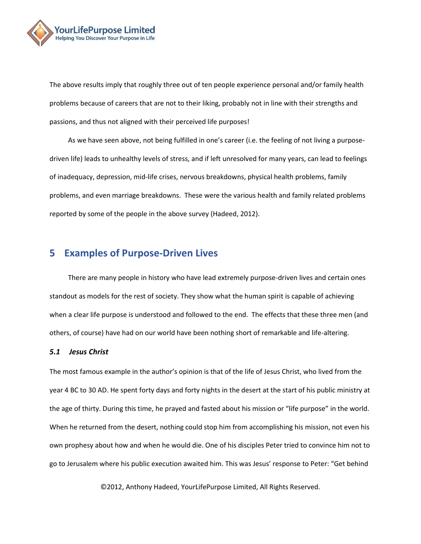

The above results imply that roughly three out of ten people experience personal and/or family health problems because of careers that are not to their liking, probably not in line with their strengths and passions, and thus not aligned with their perceived life purposes!

As we have seen above, not being fulfilled in one's career (i.e. the feeling of not living a purposedriven life) leads to unhealthy levels of stress, and if left unresolved for many years, can lead to feelings of inadequacy, depression, mid-life crises, nervous breakdowns, physical health problems, family problems, and even marriage breakdowns. These were the various health and family related problems reported by some of the people in the above survey (Hadeed, 2012).

### <span id="page-7-0"></span>**5 Examples of Purpose-Driven Lives**

There are many people in history who have lead extremely purpose-driven lives and certain ones standout as models for the rest of society. They show what the human spirit is capable of achieving when a clear life purpose is understood and followed to the end. The effects that these three men (and others, of course) have had on our world have been nothing short of remarkable and life-altering.

#### <span id="page-7-1"></span>*5.1 Jesus Christ*

The most famous example in the author's opinion is that of the life of Jesus Christ, who lived from the year 4 BC to 30 AD. He spent forty days and forty nights in the desert at the start of his public ministry at the age of thirty. During this time, he prayed and fasted about his mission or "life purpose" in the world. When he returned from the desert, nothing could stop him from accomplishing his mission, not even his own prophesy about how and when he would die. One of his disciples Peter tried to convince him not to go to Jerusalem where his public execution awaited him. This was Jesus' response to Peter: "Get behind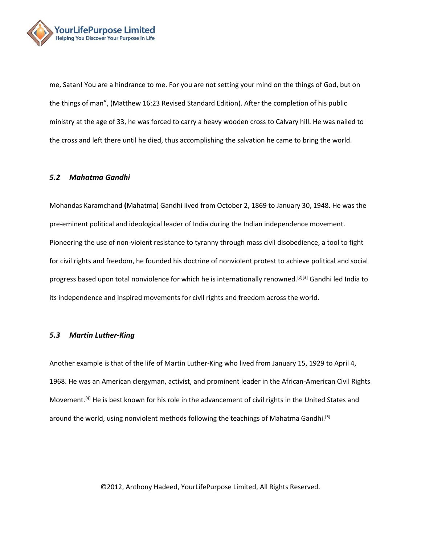

me, Satan! You are a hindrance to me. For you are not setting your mind on the things of God, but on the things of man", (Matthew 16:23 Revised Standard Edition). After the completion of his public ministry at the age of 33, he was forced to carry a heavy wooden cross to Calvary hill. He was nailed to the cross and left there until he died, thus accomplishing the salvation he came to bring the world.

#### <span id="page-8-0"></span>*5.2 Mahatma Gandhi*

Mohandas Karamchand **(**Mahatma) Gandhi lived from October 2, 1869 to January 30, 1948. He was the pre-eminent political and ideological leader o[f India](http://raj/) during the [Indian independence movement.](http://movement/) Pioneering the use o[f non-violent](http://nonviolence/) resistance to tyranny through mas[s civil disobedience,](http://disobedience/) a tool to fight for civil rights and freedom, he founded his doctrine of nonviolent protest to achieve political and social progress based upon total [nonviolence](http://nonviolence/) for which he is internationally renowned.<sup>[\[2\]](http://en.wikipedia.org/wiki/Mohandas_Karamchand_Gandhi#cite_note-CollectedWorks25-2)[\[3\]](http://en.wikipedia.org/wiki/Mohandas_Karamchand_Gandhi#cite_note-CollectedWorks67-3)</sup> Gandhi led India to its [independence](http://movement/) and inspired movements for civil rights and freedom across the world.

#### <span id="page-8-1"></span>*5.3 Martin Luther-King*

Another example is that of the life of Martin Luther-King who lived from January 15, 1929 to April 4, 1968. He was an American [clergyman,](http://pastor/) activist, and prominent leader in the African-American Civil Rights Movement.<sup>[\[4\]](http://en.wikipedia.org/wiki/Martin_Luther_King,_Jr.#cite_note-0)</sup> He is best known for his role in the advancement of [civil rights](http://rights/) in the United States and around the world, using [nonviolent](http://nonviolence/) methods following the teachings of [Mahatma Gandhi.](http://gandhi/)<sup>[\[5\]](http://en.wikipedia.org/wiki/Martin_Luther_King,_Jr.#cite_note-1)</sup>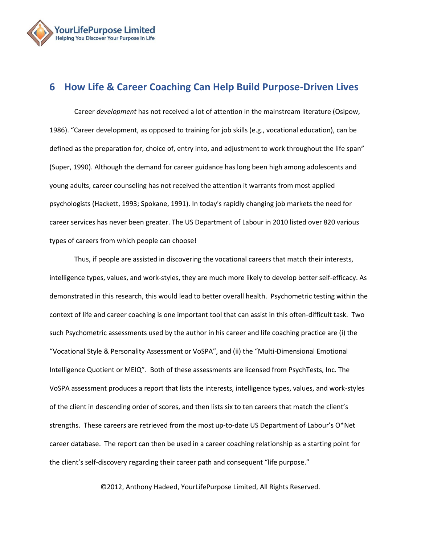

# <span id="page-9-0"></span>**6 How Life & Career Coaching Can Help Build Purpose-Driven Lives**

Career *development* has not received a lot of attention in the mainstream literature (Osipow, 1986). "Career development, as opposed to training for job skills (e.g., vocational education), can be defined as the preparation for, choice of, entry into, and adjustment to work throughout the life span" (Super, 1990). Although the demand for career guidance has long been high among adolescents and young adults, career counseling has not received the attention it warrants from most applied psychologists (Hackett, 1993; Spokane, 1991). In today's rapidly changing job markets the need for career services has never been greater. The US Department of Labour in 2010 listed over 820 various types of careers from which people can choose!

Thus, if people are assisted in discovering the vocational careers that match their interests, intelligence types, values, and work-styles, they are much more likely to develop better self-efficacy. As demonstrated in this research, this would lead to better overall health. Psychometric testing within the context of life and career coaching is one important tool that can assist in this often-difficult task. Two such Psychometric assessments used by the author in his career and life coaching practice are (i) the "Vocational Style & Personality Assessment or VoSPA", and (ii) the "Multi-Dimensional Emotional Intelligence Quotient or MEIQ". Both of these assessments are licensed from PsychTests, Inc. The VoSPA assessment produces a report that lists the interests, intelligence types, values, and work-styles of the client in descending order of scores, and then lists six to ten careers that match the client's strengths. These careers are retrieved from the most up-to-date US Department of Labour's O\*Net career database. The report can then be used in a career coaching relationship as a starting point for the client's self-discovery regarding their career path and consequent "life purpose."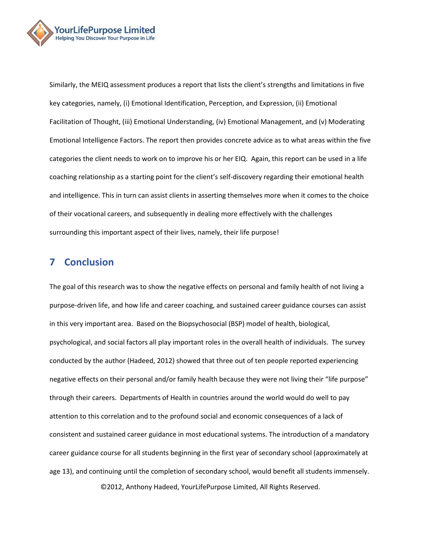

Similarly, the MEIQ assessment produces a report that lists the client's strengths and limitations in five key categories, namely, (i) Emotional Identification, Perception, and Expression, (ii) Emotional Facilitation of Thought, (iii) Emotional Understanding, (iv) Emotional Management, and (v) Moderating Emotional Intelligence Factors. The report then provides concrete advice as to what areas within the five categories the client needs to work on to improve his or her EIQ. Again, this report can be used in a life coaching relationship as a starting point for the client's self-discovery regarding their emotional health and intelligence. This in turn can assist clients in asserting themselves more when it comes to the choice of their vocational careers, and subsequently in dealing more effectively with the challenges surrounding this important aspect of their lives, namely, their life purpose!

### <span id="page-10-0"></span>**7 Conclusion**

The goal of this research was to show the negative effects on personal and family health of not living a purpose-driven life, and how life and career coaching, and sustained career guidance courses can assist in this very important area. Based on the Biopsychosocial (BSP) model of health, biological, psychological, and social factors all play important roles in the overall health of individuals. The survey conducted by the author (Hadeed, 2012) showed that three out of ten people reported experiencing negative effects on their personal and/or family health because they were not living their "life purpose" through their careers. Departments of Health in countries around the world would do well to pay attention to this correlation and to the profound social and economic consequences of a lack of consistent and sustained career guidance in most educational systems. The introduction of a mandatory career guidance course for all students beginning in the first year of secondary school (approximately at age 13), and continuing until the completion of secondary school, would benefit all students immensely.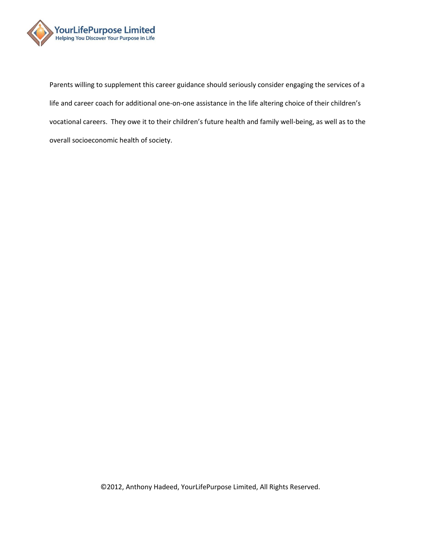

Parents willing to supplement this career guidance should seriously consider engaging the services of a life and career coach for additional one-on-one assistance in the life altering choice of their children's vocational careers. They owe it to their children's future health and family well-being, as well as to the overall socioeconomic health of society.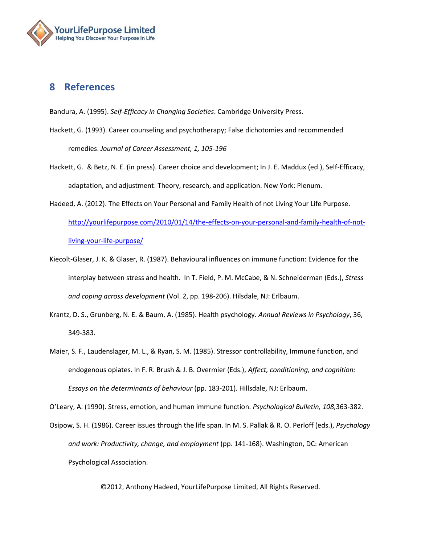

# <span id="page-12-0"></span>**8 References**

Bandura, A. (1995). *Self-Efficacy in Changing Societies*. Cambridge University Press.

- Hackett, G. (1993). Career counseling and psychotherapy; False dichotomies and recommended remedies. *Journal of Career Assessment, 1, 105-196*
- Hackett, G. & Betz, N. E. (in press). Career choice and development; In J. E. Maddux (ed.), Self-Efficacy, adaptation, and adjustment: Theory, research, and application. New York: Plenum.
- Hadeed, A. (2012). The Effects on Your Personal and Family Health of not Living Your Life Purpose. [http://yourlifepurpose.com/2010/01/14/the-effects-on-your-personal-and-family-health-of-not](http://yourlifepurpose.com/2010/01/14/the-effects-on-your-personal-and-family-health-of-not-living-your-life-purpose/)[living-your-life-purpose/](http://yourlifepurpose.com/2010/01/14/the-effects-on-your-personal-and-family-health-of-not-living-your-life-purpose/)
- Kiecolt-Glaser, J. K. & Glaser, R. (1987). Behavioural influences on immune function: Evidence for the interplay between stress and health. In T. Field, P. M. McCabe, & N. Schneiderman (Eds.), *Stress and coping across development* (Vol. 2, pp. 198-206). Hilsdale, NJ: Erlbaum.
- Krantz, D. S., Grunberg, N. E. & Baum, A. (1985). Health psychology. *Annual Reviews in Psychology*, 36, 349-383.
- Maier, S. F., Laudenslager, M. L., & Ryan, S. M. (1985). Stressor controllability, Immune function, and endogenous opiates. In F. R. Brush & J. B. Overmier (Eds.), *Affect, conditioning, and cognition: Essays on the determinants of behaviour* (pp. 183-201). Hillsdale, NJ: Erlbaum.

O'Leary, A. (1990). Stress, emotion, and human immune function. *Psychological Bulletin, 108,*363-382.

Osipow, S. H. (1986). Career issues through the life span. In M. S. Pallak & R. O. Perloff (eds.), *Psychology and work: Productivity, change, and employment* (pp. 141-168). Washington, DC: American Psychological Association.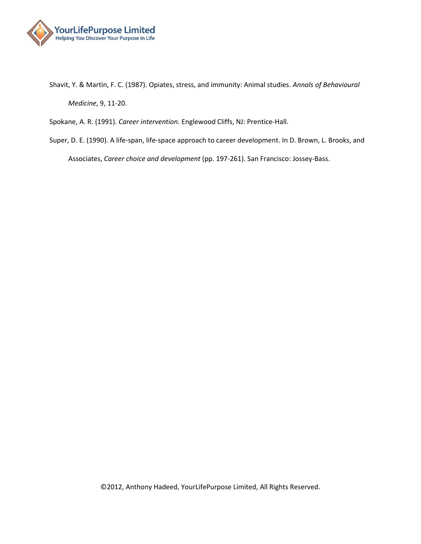

Shavit, Y. & Martin, F. C. (1987). Opiates, stress, and immunity: Animal studies. *Annals of Behavioural Medicine*, 9, 11-20.

Spokane, A. R. (1991). *Career intervention*. Englewood Cliffs, NJ: Prentice-Hall.

Super, D. E. (1990). A life-span, life-space approach to career development. In D. Brown, L. Brooks, and Associates, *Career choice and development* (pp. 197-261). San Francisco: Jossey-Bass.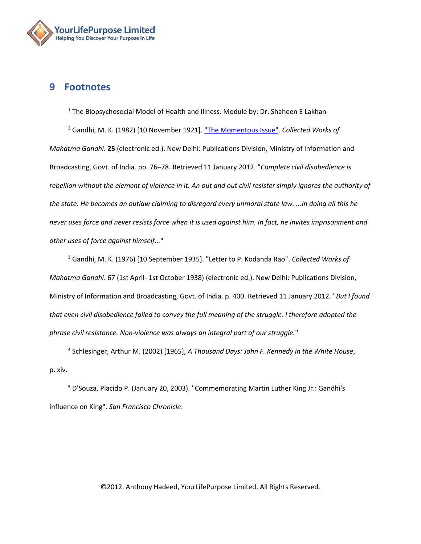

### <span id="page-14-0"></span>**9 Footnotes**

 $1$  The Biopsychosocial Model of Health and Illness. Module by: Dr. Shaheen E Lakhan <sup>2</sup> Gandhi, M. K. (1982) [10 November 1921]. ["The Momentous Issue".](http://www.gandhiserve.org/cwmg/VOL025.PDF) *Collected Works of Mahatma Gandhi*. **25** (electronic ed.). New Delhi: Publications Division, Ministry of Information and Broadcasting, Govt. of India. pp. 76–78. Retrieved 11 January 2012. "*Complete civil disobedience is*  rebellion without the element of violence in it. An out and out civil resister simply ignores the authority of *the state. He becomes an outlaw claiming to disregard every unmoral state law. ...In doing all this he never uses force and never resists force when it is used against him. In fact, he invites imprisonment and other uses of force against himself...*"

<sup>3</sup> Gandhi, M. K. (1976) [10 September 1935]. ["Letter to P. Kodanda Rao".](http://www.gandhiserve.org/cwmg/VOL067.PDF) *Collected Works of Mahatma Gandhi*. 67 (1st April- 1st October 1938) (electronic ed.). New Delhi: Publications Division, Ministry of Information and Broadcasting, Govt. of India. p. 400. Retrieved 11 January 2012. "*But I found that even civil disobedience failed to convey the full meaning of the struggle. I therefore adopted the phrase civil resistance. Non-violence was always an integral part of our struggle.*"

4 Schlesinger, Arthur M. (2002) [1965], *A Thousand Days: John F. Kennedy in the White House*, p. xiv.

<sup>5</sup> D'Souza, Placido P. (January 20, 2003). ["Commemorating Martin Luther King Jr.: Gandhi's](http://articles.sfgate.com/2003-01-20/opinion/17474454_1_nonviolence-philosophy-king)  [influence on King".](http://articles.sfgate.com/2003-01-20/opinion/17474454_1_nonviolence-philosophy-king) *San Francisco Chronicle*.